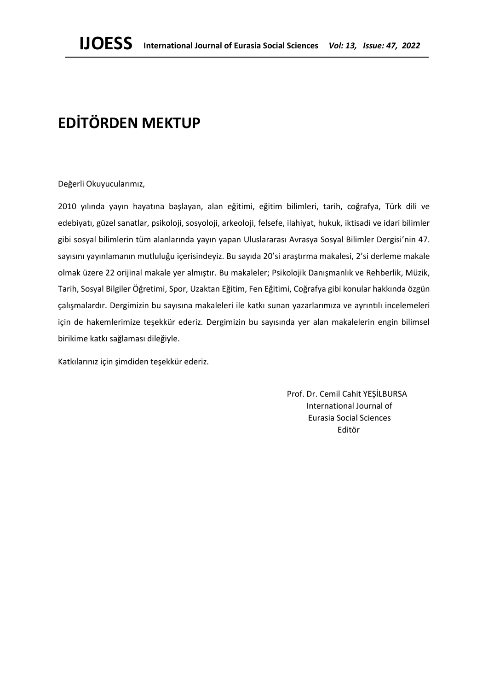## **EDİTÖRDEN MEKTUP**

Değerli Okuyucularımız,

2010 yılında yayın hayatına başlayan, alan eğitimi, eğitim bilimleri, tarih, coğrafya, Türk dili ve edebiyatı, güzel sanatlar, psikoloji, sosyoloji, arkeoloji, felsefe, ilahiyat, hukuk, iktisadi ve idari bilimler gibi sosyal bilimlerin tüm alanlarında yayın yapan Uluslararası Avrasya Sosyal Bilimler Dergisi'nin 47. sayısını yayınlamanın mutluluğu içerisindeyiz. Bu sayıda 20'si araştırma makalesi, 2'si derleme makale olmak üzere 22 orijinal makale yer almıştır. Bu makaleler; Psikolojik Danışmanlık ve Rehberlik, Müzik, Tarih, Sosyal Bilgiler Öğretimi, Spor, Uzaktan Eğitim, Fen Eğitimi, Coğrafya gibi konular hakkında özgün çalışmalardır. Dergimizin bu sayısına makaleleri ile katkı sunan yazarlarımıza ve ayrıntılı incelemeleri için de hakemlerimize teşekkür ederiz. Dergimizin bu sayısında yer alan makalelerin engin bilimsel birikime katkı sağlaması dileğiyle.

Katkılarınız için şimdiden teşekkür ederiz.

 Prof. Dr. Cemil Cahit YEŞİLBURSA International Journal of Eurasia Social Sciences Editör